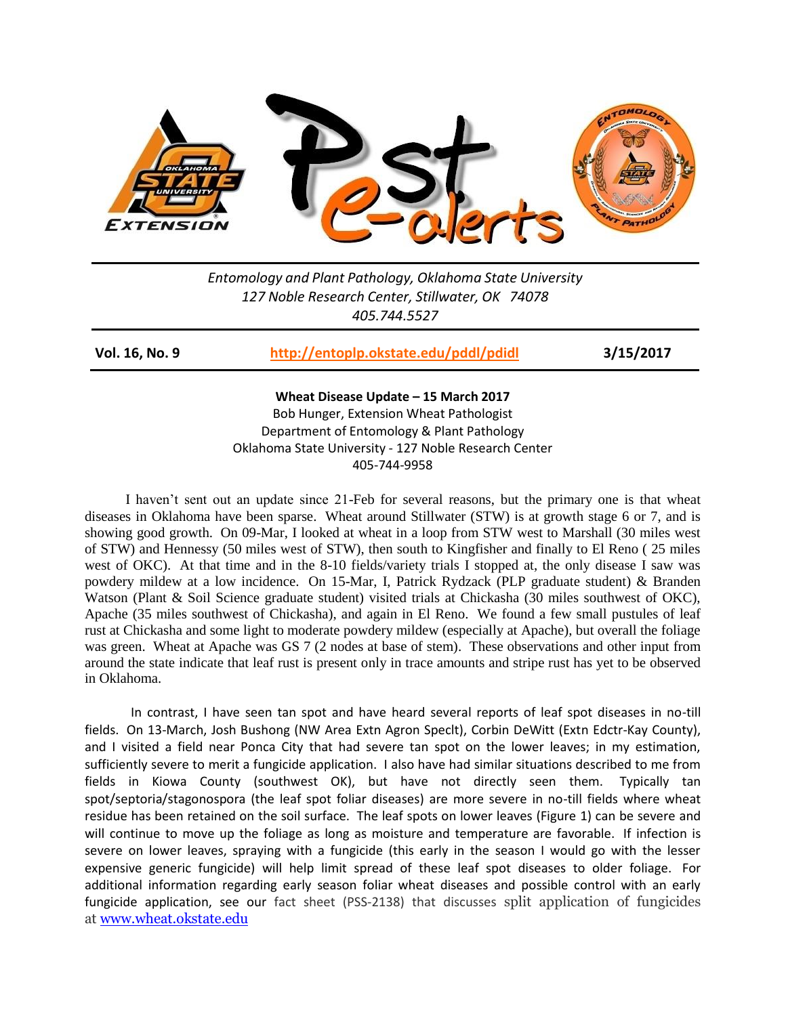

*Entomology and Plant Pathology, Oklahoma State University 127 Noble Research Center, Stillwater, OK 74078 405.744.5527*

**Vol. 16, No. 9 <http://entoplp.okstate.edu/pddl/pdidl> 3/15/2017**

**Wheat Disease Update – 15 March 2017**

Bob Hunger, Extension Wheat Pathologist Department of Entomology & Plant Pathology Oklahoma State University - 127 Noble Research Center 405-744-9958

 I haven't sent out an update since 21-Feb for several reasons, but the primary one is that wheat diseases in Oklahoma have been sparse. Wheat around Stillwater (STW) is at growth stage 6 or 7, and is showing good growth. On 09-Mar, I looked at wheat in a loop from STW west to Marshall (30 miles west of STW) and Hennessy (50 miles west of STW), then south to Kingfisher and finally to El Reno ( 25 miles west of OKC). At that time and in the 8-10 fields/variety trials I stopped at, the only disease I saw was powdery mildew at a low incidence. On 15-Mar, I, Patrick Rydzack (PLP graduate student) & Branden Watson (Plant & Soil Science graduate student) visited trials at Chickasha (30 miles southwest of OKC), Apache (35 miles southwest of Chickasha), and again in El Reno. We found a few small pustules of leaf rust at Chickasha and some light to moderate powdery mildew (especially at Apache), but overall the foliage was green. Wheat at Apache was GS 7 (2 nodes at base of stem). These observations and other input from around the state indicate that leaf rust is present only in trace amounts and stripe rust has yet to be observed in Oklahoma.

In contrast, I have seen tan spot and have heard several reports of leaf spot diseases in no-till fields. On 13-March, Josh Bushong (NW Area Extn Agron Speclt), Corbin DeWitt (Extn Edctr-Kay County), and I visited a field near Ponca City that had severe tan spot on the lower leaves; in my estimation, sufficiently severe to merit a fungicide application. I also have had similar situations described to me from fields in Kiowa County (southwest OK), but have not directly seen them. Typically tan spot/septoria/stagonospora (the leaf spot foliar diseases) are more severe in no-till fields where wheat residue has been retained on the soil surface. The leaf spots on lower leaves (Figure 1) can be severe and will continue to move up the foliage as long as moisture and temperature are favorable. If infection is severe on lower leaves, spraying with a fungicide (this early in the season I would go with the lesser expensive generic fungicide) will help limit spread of these leaf spot diseases to older foliage. For additional information regarding early season foliar wheat diseases and possible control with an early fungicide application, see our fact sheet (PSS-2138) that discusses split application of fungicides at [www.wheat.okstate.edu](http://wheat.okstate.edu/wheat-management/insectsdisease/PSS2138splitvssinglefungicideapplications.pdf)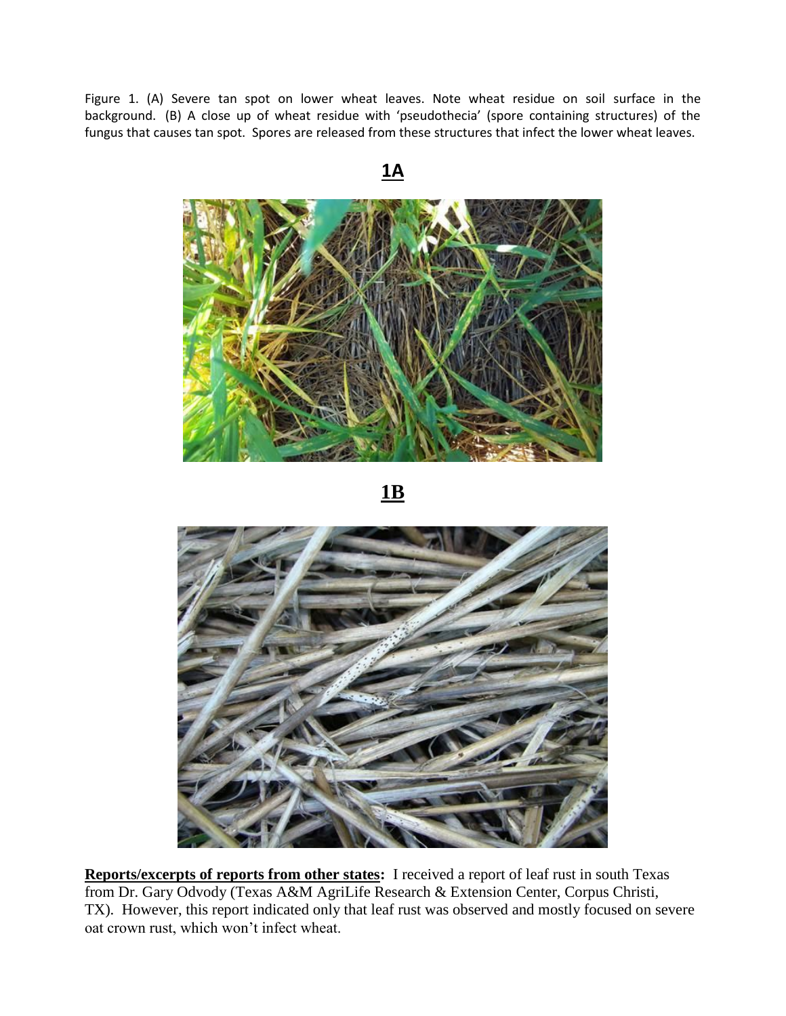Figure 1. (A) Severe tan spot on lower wheat leaves. Note wheat residue on soil surface in the background. (B) A close up of wheat residue with 'pseudothecia' (spore containing structures) of the fungus that causes tan spot. Spores are released from these structures that infect the lower wheat leaves.



**Reports/excerpts of reports from other states:** I received a report of leaf rust in south Texas from Dr. Gary Odvody (Texas A&M AgriLife Research & Extension Center, Corpus Christi, TX). However, this report indicated only that leaf rust was observed and mostly focused on severe oat crown rust, which won't infect wheat.